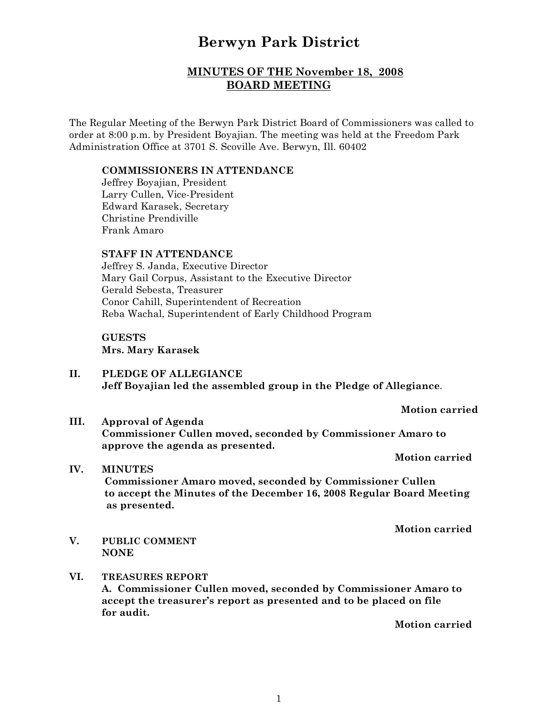# **Berwyn Park District**

# **MINUTES OF THE November 18, 2008 BOARD MEETING**

The Regular Meeting of the Berwyn Park District Board of Commissioners was called to order at 8:00 p.m. by President Boyajian. The meeting was held at the Freedom Park Administration Office at 3701 S. Scoville Ave. Berwyn, Ill. 60402

#### **COMMISSIONERS IN ATTENDANCE**

Jeffrey Boyajian, President Larry Cullen, Vice-President Edward Karasek, Secretary Christine Prendiville Frank Amaro

## **STAFF IN ATTENDANCE**

Jeffrey S. Janda, Executive Director Mary Gail Corpus, Assistant to the Executive Director Gerald Sebesta, Treasurer Conor Cahill, Superintendent of Recreation Reba Wachal, Superintendent of Early Childhood Program

# **GUESTS Mrs. Mary Karasek**

**II. PLEDGE OF ALLEGIANCE Jeff Boyajian led the assembled group in the Pledge of Allegiance**.

**Motion carried**

**III. Approval of Agenda Commissioner Cullen moved, seconded by Commissioner Amaro to approve the agenda as presented.**

**Motion carried**

**IV. MINUTES Commissioner Amaro moved, seconded by Commissioner Cullen to accept the Minutes of the December 16, 2008 Regular Board Meeting as presented.**

**Motion carried**

- **V. PUBLIC COMMENT NONE**
- **VI. TREASURES REPORT A. Commissioner Cullen moved, seconded by Commissioner Amaro to accept the treasurer's report as presented and to be placed on file for audit.**

**Motion carried**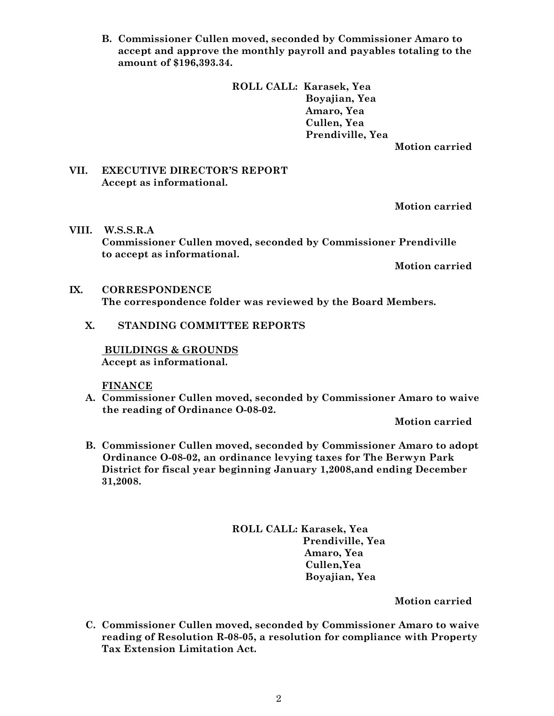**B. Commissioner Cullen moved, seconded by Commissioner Amaro to accept and approve the monthly payroll and payables totaling to the amount of \$196,393.34.**

> **ROLL CALL: Karasek, Yea Boyajian, Yea Amaro, Yea Cullen, Yea Prendiville, Yea**

**Motion carried**

#### **VII. EXECUTIVE DIRECTOR'S REPORT Accept as informational.**

**Motion carried**

**VIII. W.S.S.R.A Commissioner Cullen moved, seconded by Commissioner Prendiville to accept as informational.**

**Motion carried**

## **IX. CORRESPONDENCE The correspondence folder was reviewed by the Board Members.**

## **X. STANDING COMMITTEE REPORTS**

 **BUILDINGS & GROUNDS Accept as informational.**

**FINANCE**

**A. Commissioner Cullen moved, seconded by Commissioner Amaro to waive the reading of Ordinance O-08-02.**

**Motion carried**

**B. Commissioner Cullen moved, seconded by Commissioner Amaro to adopt Ordinance O-08-02, an ordinance levying taxes for The Berwyn Park District for fiscal year beginning January 1,2008,and ending December 31,2008.**

> **ROLL CALL: Karasek, Yea Prendiville, Yea Amaro, Yea Cullen,Yea Boyajian, Yea**

> > **Motion carried**

**C. Commissioner Cullen moved, seconded by Commissioner Amaro to waive reading of Resolution R-08-05, a resolution for compliance with Property Tax Extension Limitation Act.**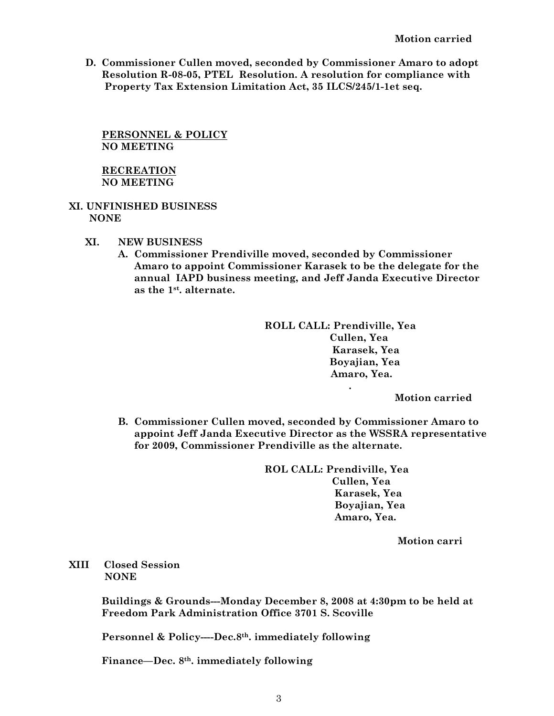**D. Commissioner Cullen moved, seconded by Commissioner Amaro to adopt Resolution R-08-05, PTEL Resolution. A resolution for compliance with Property Tax Extension Limitation Act, 35 ILCS/245/1-1et seq.**

**PERSONNEL & POLICY NO MEETING**

### **RECREATION NO MEETING**

### **XI. UNFINISHED BUSINESS NONE**

- **XI. NEW BUSINESS**
	- **A. Commissioner Prendiville moved, seconded by Commissioner Amaro to appoint Commissioner Karasek to be the delegate for the annual IAPD business meeting, and Jeff Janda Executive Director as the 1st. alternate.**

**ROLL CALL: Prendiville, Yea Cullen, Yea Karasek, Yea Boyajian, Yea Amaro, Yea.**

**Motion carried**

**B. Commissioner Cullen moved, seconded by Commissioner Amaro to appoint Jeff Janda Executive Director as the WSSRA representative for 2009, Commissioner Prendiville as the alternate.**

> **ROL CALL: Prendiville, Yea Cullen, Yea Karasek, Yea Boyajian, Yea Amaro, Yea.**

> > **Motion carri**

**XIII Closed Session NONE**

> **Buildings & Grounds---Monday December 8, 2008 at 4:30pm to be held at Freedom Park Administration Office 3701 S. Scoville**

**Personnel & Policy----Dec.8th. immediately following**

**Finance—Dec. 8th. immediately following**

 **.**